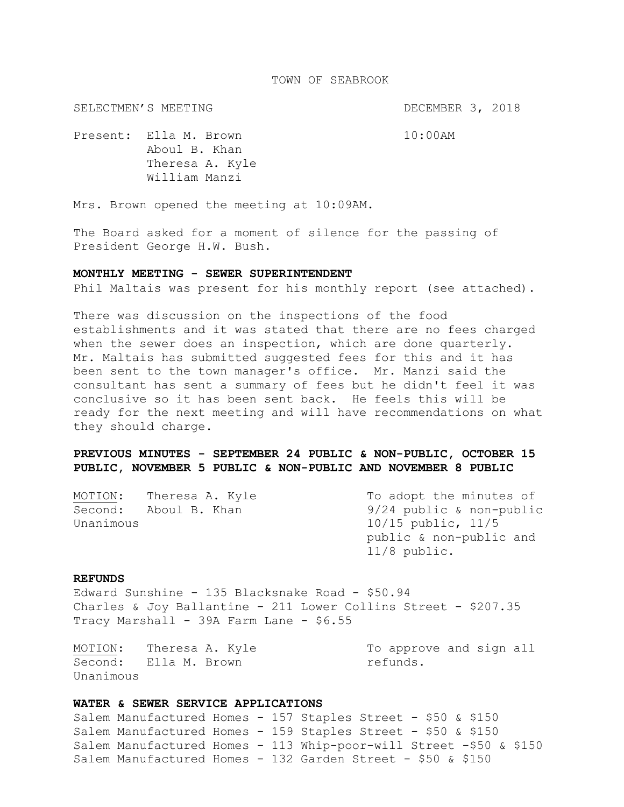### TOWN OF SEABROOK

SELECTMEN'S MEETING DECEMBER 3, 2018

Present: Ella M. Brown 10:00AM Aboul B. Khan Theresa A. Kyle William Manzi

Mrs. Brown opened the meeting at 10:09AM.

The Board asked for a moment of silence for the passing of President George H.W. Bush.

#### **MONTHLY MEETING - SEWER SUPERINTENDENT**

Phil Maltais was present for his monthly report (see attached).

There was discussion on the inspections of the food establishments and it was stated that there are no fees charged when the sewer does an inspection, which are done quarterly. Mr. Maltais has submitted suggested fees for this and it has been sent to the town manager's office. Mr. Manzi said the consultant has sent a summary of fees but he didn't feel it was conclusive so it has been sent back. He feels this will be ready for the next meeting and will have recommendations on what they should charge.

# **PREVIOUS MINUTES - SEPTEMBER 24 PUBLIC & NON-PUBLIC, OCTOBER 15 PUBLIC, NOVEMBER 5 PUBLIC & NON-PUBLIC AND NOVEMBER 8 PUBLIC**

| MOTION:   | Theresa A. Kyle | To adopt the minutes of  |
|-----------|-----------------|--------------------------|
| Second:   | Aboul B. Khan   | 9/24 public & non-public |
| Unanimous |                 | $10/15$ public, $11/5$   |
|           |                 | public & non-public and  |
|           |                 | $11/8$ public.           |

#### **REFUNDS**

Edward Sunshine - 135 Blacksnake Road - \$50.94 Charles & Joy Ballantine - 211 Lower Collins Street - \$207.35 Tracy Marshall - 39A Farm Lane - \$6.55

MOTION: Theresa A. Kyle To approve and sign all Second: Ella M. Brown refunds. Unanimous

### **WATER & SEWER SERVICE APPLICATIONS**

Salem Manufactured Homes - 157 Staples Street - \$50 & \$150 Salem Manufactured Homes - 159 Staples Street - \$50 & \$150 Salem Manufactured Homes - 113 Whip-poor-will Street -\$50 & \$150 Salem Manufactured Homes - 132 Garden Street - \$50 & \$150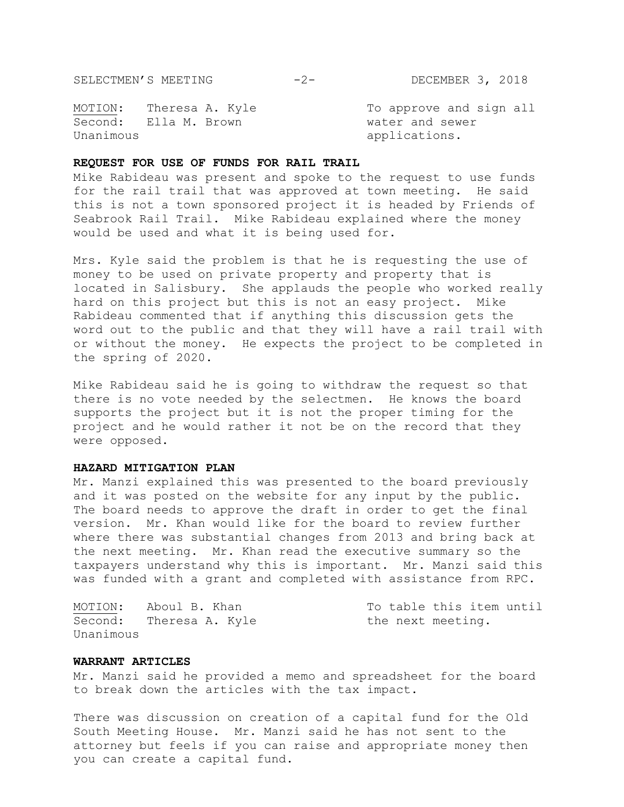SELECTMEN'S MEETING -2- DECEMBER 3, 2018

MOTION: Theresa A. Kyle To approve and sign all Second: Ella M. Brown water and sewer Unanimous applications.

## **REQUEST FOR USE OF FUNDS FOR RAIL TRAIL**

Mike Rabideau was present and spoke to the request to use funds for the rail trail that was approved at town meeting. He said this is not a town sponsored project it is headed by Friends of Seabrook Rail Trail. Mike Rabideau explained where the money would be used and what it is being used for.

Mrs. Kyle said the problem is that he is requesting the use of money to be used on private property and property that is located in Salisbury. She applauds the people who worked really hard on this project but this is not an easy project. Mike Rabideau commented that if anything this discussion gets the word out to the public and that they will have a rail trail with or without the money. He expects the project to be completed in the spring of 2020.

Mike Rabideau said he is going to withdraw the request so that there is no vote needed by the selectmen. He knows the board supports the project but it is not the proper timing for the project and he would rather it not be on the record that they were opposed.

#### **HAZARD MITIGATION PLAN**

Mr. Manzi explained this was presented to the board previously and it was posted on the website for any input by the public. The board needs to approve the draft in order to get the final version. Mr. Khan would like for the board to review further where there was substantial changes from 2013 and bring back at the next meeting. Mr. Khan read the executive summary so the taxpayers understand why this is important. Mr. Manzi said this was funded with a grant and completed with assistance from RPC.

Second: Theresa A. Kyle the next meeting. Unanimous

MOTION: Aboul B. Khan To table this item until

### **WARRANT ARTICLES**

Mr. Manzi said he provided a memo and spreadsheet for the board to break down the articles with the tax impact.

There was discussion on creation of a capital fund for the Old South Meeting House. Mr. Manzi said he has not sent to the attorney but feels if you can raise and appropriate money then you can create a capital fund.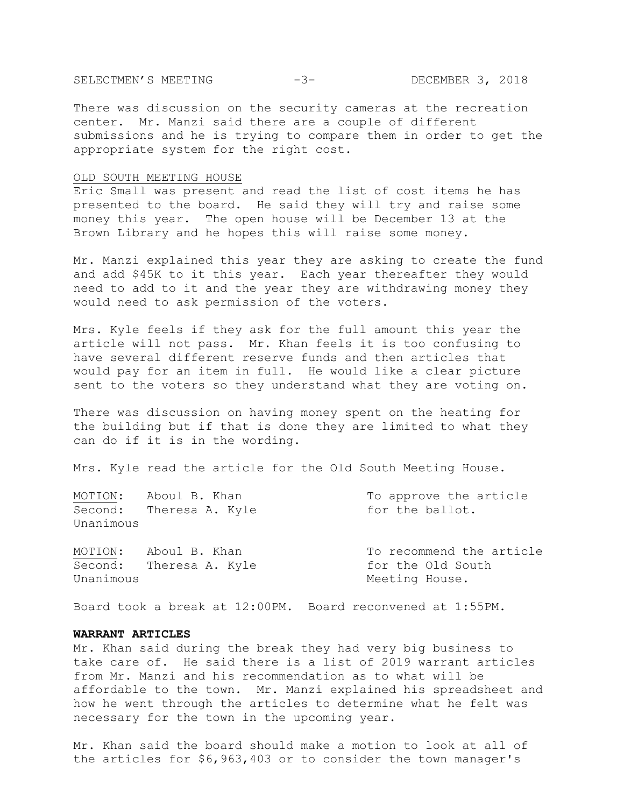There was discussion on the security cameras at the recreation center. Mr. Manzi said there are a couple of different submissions and he is trying to compare them in order to get the appropriate system for the right cost.

#### OLD SOUTH MEETING HOUSE

Eric Small was present and read the list of cost items he has presented to the board. He said they will try and raise some money this year. The open house will be December 13 at the Brown Library and he hopes this will raise some money.

Mr. Manzi explained this year they are asking to create the fund and add \$45K to it this year. Each year thereafter they would need to add to it and the year they are withdrawing money they would need to ask permission of the voters.

Mrs. Kyle feels if they ask for the full amount this year the article will not pass. Mr. Khan feels it is too confusing to have several different reserve funds and then articles that would pay for an item in full. He would like a clear picture sent to the voters so they understand what they are voting on.

There was discussion on having money spent on the heating for the building but if that is done they are limited to what they can do if it is in the wording.

Mrs. Kyle read the article for the Old South Meeting House.

| MOTION:   | Aboul B. Khan           | To approve the article   |
|-----------|-------------------------|--------------------------|
| Unanimous | Second: Theresa A. Kyle | for the ballot.          |
| MOTION:   | Aboul B. Khan           | To recommend the article |
|           | Second: Theresa A. Kyle | for the Old South        |
| Unanimous |                         | Meeting House.           |

Board took a break at 12:00PM. Board reconvened at 1:55PM.

### **WARRANT ARTICLES**

Mr. Khan said during the break they had very big business to take care of. He said there is a list of 2019 warrant articles from Mr. Manzi and his recommendation as to what will be affordable to the town. Mr. Manzi explained his spreadsheet and how he went through the articles to determine what he felt was necessary for the town in the upcoming year.

Mr. Khan said the board should make a motion to look at all of the articles for \$6,963,403 or to consider the town manager's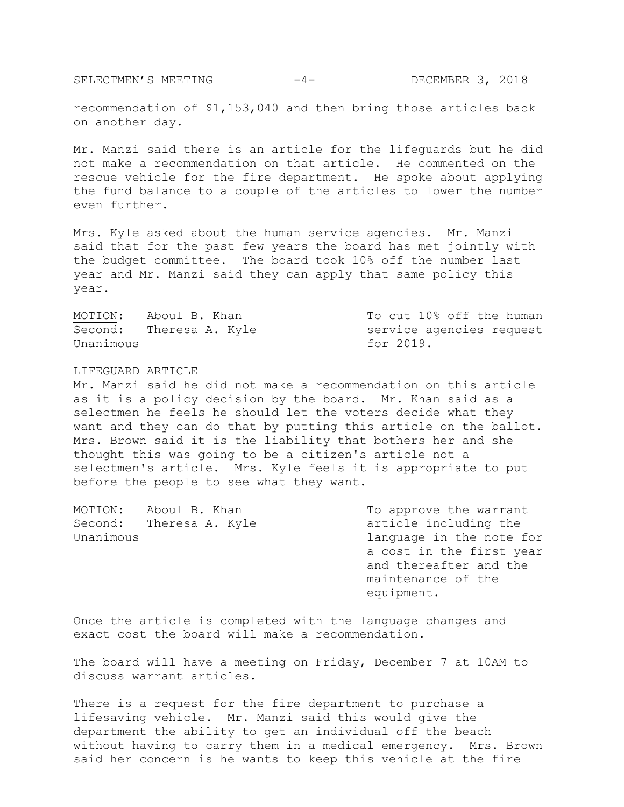SELECTMEN'S MEETING -4- DECEMBER 3, 2018

recommendation of \$1,153,040 and then bring those articles back on another day.

Mr. Manzi said there is an article for the lifeguards but he did not make a recommendation on that article. He commented on the rescue vehicle for the fire department. He spoke about applying the fund balance to a couple of the articles to lower the number even further.

Mrs. Kyle asked about the human service agencies. Mr. Manzi said that for the past few years the board has met jointly with the budget committee. The board took 10% off the number last year and Mr. Manzi said they can apply that same policy this year.

Second: Theresa A. Kyle service agencies request Unanimous **for 2019.** 

MOTION: Aboul B. Khan To cut 10% off the human

### LIFEGUARD ARTICLE

Mr. Manzi said he did not make a recommendation on this article as it is a policy decision by the board. Mr. Khan said as a selectmen he feels he should let the voters decide what they want and they can do that by putting this article on the ballot. Mrs. Brown said it is the liability that bothers her and she thought this was going to be a citizen's article not a selectmen's article. Mrs. Kyle feels it is appropriate to put before the people to see what they want.

| MOTION:   | Aboul B. Khan           |
|-----------|-------------------------|
|           | Second: Theresa A. Kyle |
| Unanimous |                         |

To approve the warrant article including the language in the note for a cost in the first year and thereafter and the maintenance of the equipment.

Once the article is completed with the language changes and exact cost the board will make a recommendation.

The board will have a meeting on Friday, December 7 at 10AM to discuss warrant articles.

There is a request for the fire department to purchase a lifesaving vehicle. Mr. Manzi said this would give the department the ability to get an individual off the beach without having to carry them in a medical emergency. Mrs. Brown said her concern is he wants to keep this vehicle at the fire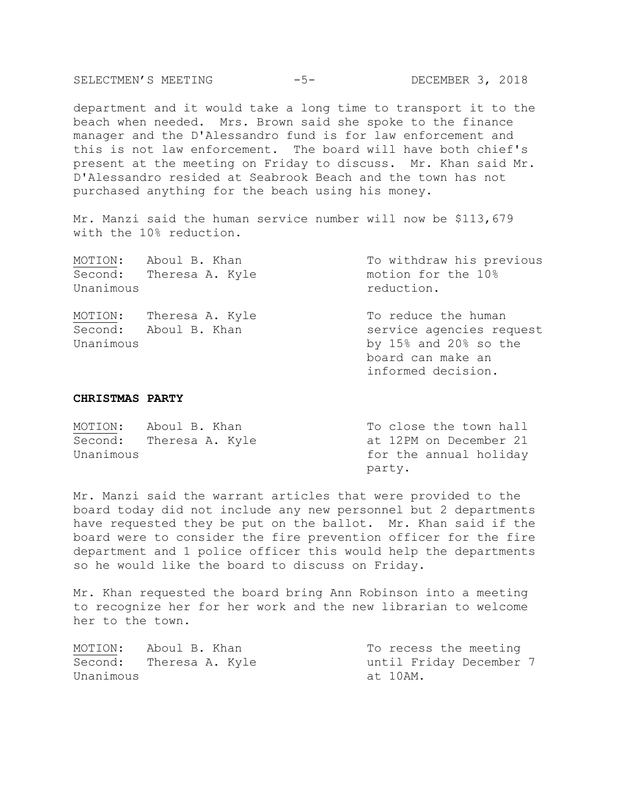SELECTMEN'S MEETING -5- DECEMBER 3, 2018

department and it would take a long time to transport it to the beach when needed. Mrs. Brown said she spoke to the finance manager and the D'Alessandro fund is for law enforcement and this is not law enforcement. The board will have both chief's present at the meeting on Friday to discuss. Mr. Khan said Mr. D'Alessandro resided at Seabrook Beach and the town has not purchased anything for the beach using his money.

Mr. Manzi said the human service number will now be \$113,679 with the 10% reduction.

| MOTION: Aboul B. Khan   | To withdraw his previous |
|-------------------------|--------------------------|
| Second: Theresa A. Kyle | motion for the 10%       |
| Unanimous               | reduction.               |
| MOTION: Theresa A. Kyle | To reduce the human      |
| Second: Aboul B. Khan   | service agencies request |
| Unanimous               | by 15% and 20% so the    |
|                         | board can make an        |
|                         | informed decision.       |

### **CHRISTMAS PARTY**

| MOTION:   | Aboul B. Khan           | To close the town hall |
|-----------|-------------------------|------------------------|
|           | Second: Theresa A. Kyle | at 12PM on December 21 |
| Unanimous |                         | for the annual holiday |
|           |                         | party.                 |

Mr. Manzi said the warrant articles that were provided to the board today did not include any new personnel but 2 departments have requested they be put on the ballot. Mr. Khan said if the board were to consider the fire prevention officer for the fire department and 1 police officer this would help the departments so he would like the board to discuss on Friday.

Mr. Khan requested the board bring Ann Robinson into a meeting to recognize her for her work and the new librarian to welcome her to the town.

| MOTION:   | Aboul B. Khan           | To recess the meeting   |
|-----------|-------------------------|-------------------------|
|           | Second: Theresa A. Kyle | until Friday December 7 |
| Unanimous |                         | at 10AM.                |